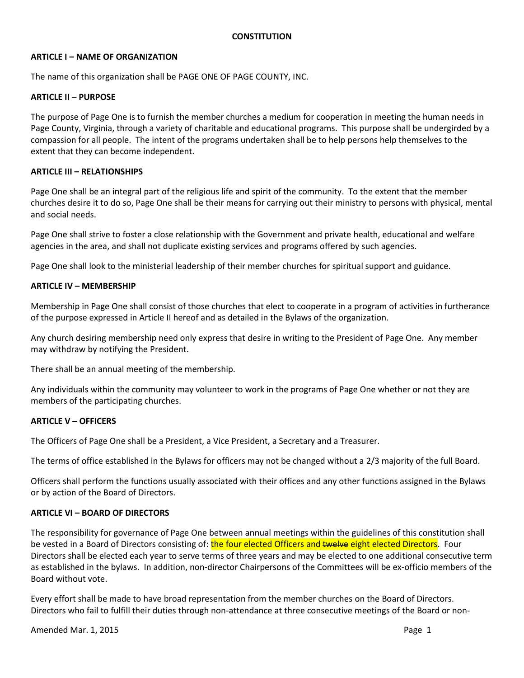## **CONSTITUTION**

## **ARTICLE I – NAME OF ORGANIZATION**

The name of this organization shall be PAGE ONE OF PAGE COUNTY, INC.

## **ARTICLE II – PURPOSE**

The purpose of Page One is to furnish the member churches a medium for cooperation in meeting the human needs in Page County, Virginia, through a variety of charitable and educational programs. This purpose shall be undergirded by a compassion for all people. The intent of the programs undertaken shall be to help persons help themselves to the extent that they can become independent.

## **ARTICLE III – RELATIONSHIPS**

Page One shall be an integral part of the religious life and spirit of the community. To the extent that the member churches desire it to do so, Page One shall be their means for carrying out their ministry to persons with physical, mental and social needs.

Page One shall strive to foster a close relationship with the Government and private health, educational and welfare agencies in the area, and shall not duplicate existing services and programs offered by such agencies.

Page One shall look to the ministerial leadership of their member churches for spiritual support and guidance.

## **ARTICLE IV – MEMBERSHIP**

Membership in Page One shall consist of those churches that elect to cooperate in a program of activities in furtherance of the purpose expressed in Article II hereof and as detailed in the Bylaws of the organization.

Any church desiring membership need only express that desire in writing to the President of Page One. Any member may withdraw by notifying the President.

There shall be an annual meeting of the membership.

Any individuals within the community may volunteer to work in the programs of Page One whether or not they are members of the participating churches.

#### **ARTICLE V – OFFICERS**

The Officers of Page One shall be a President, a Vice President, a Secretary and a Treasurer.

The terms of office established in the Bylaws for officers may not be changed without a 2/3 majority of the full Board.

Officers shall perform the functions usually associated with their offices and any other functions assigned in the Bylaws or by action of the Board of Directors.

#### **ARTICLE VI – BOARD OF DIRECTORS**

The responsibility for governance of Page One between annual meetings within the guidelines of this constitution shall be vested in a Board of Directors consisting of: the four elected Officers and twelve eight elected Directors. Four Directors shall be elected each year to serve terms of three years and may be elected to one additional consecutive term as established in the bylaws. In addition, non-director Chairpersons of the Committees will be ex-officio members of the Board without vote.

Every effort shall be made to have broad representation from the member churches on the Board of Directors. Directors who fail to fulfill their duties through non-attendance at three consecutive meetings of the Board or non-